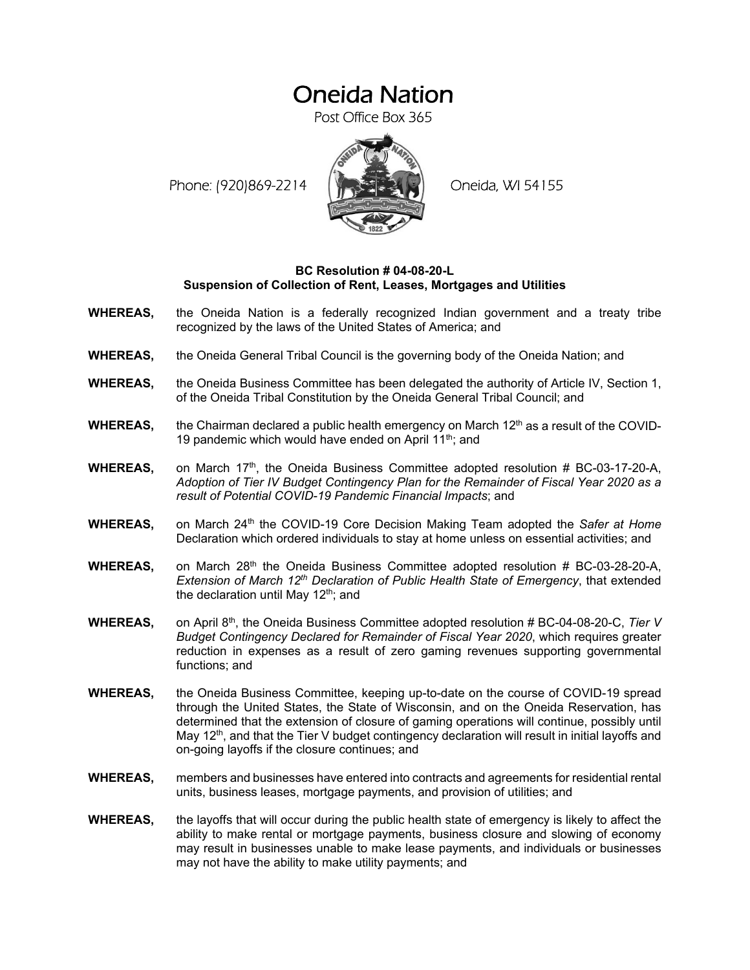## Oneida Nation

Post Office Box 365

Phone: (920)869-2214 (ALCORD Oneida, WI 54155



## **BC Resolution # 04-08-20-L Suspension of Collection of Rent, Leases, Mortgages and Utilities**

- **WHEREAS,** the Oneida Nation is a federally recognized Indian government and a treaty tribe recognized by the laws of the United States of America; and
- **WHEREAS,** the Oneida General Tribal Council is the governing body of the Oneida Nation; and
- **WHEREAS,** the Oneida Business Committee has been delegated the authority of Article IV, Section 1, of the Oneida Tribal Constitution by the Oneida General Tribal Council; and
- **WHEREAS,** the Chairman declared a public health emergency on March 12<sup>th</sup> as a result of the COVID-19 pandemic which would have ended on April 11<sup>th</sup>; and
- **WHEREAS,** on March 17<sup>th</sup>, the Oneida Business Committee adopted resolution # BC-03-17-20-A, *Adoption of Tier IV Budget Contingency Plan for the Remainder of Fiscal Year 2020 as a result of Potential COVID-19 Pandemic Financial Impacts*; and
- **WHEREAS,** on March 24<sup>th</sup> the COVID-19 Core Decision Making Team adopted the Safer at Home Declaration which ordered individuals to stay at home unless on essential activities; and
- WHEREAS, on March 28<sup>th</sup> the Oneida Business Committee adopted resolution # BC-03-28-20-A, *Extension of March 12th Declaration of Public Health State of Emergency*, that extended the declaration until May  $12<sup>th</sup>$ ; and
- **WHEREAS,** on April 8th, the Oneida Business Committee adopted resolution # BC-04-08-20-C, *Tier V Budget Contingency Declared for Remainder of Fiscal Year 2020*, which requires greater reduction in expenses as a result of zero gaming revenues supporting governmental functions; and
- **WHEREAS,** the Oneida Business Committee, keeping up-to-date on the course of COVID-19 spread through the United States, the State of Wisconsin, and on the Oneida Reservation, has determined that the extension of closure of gaming operations will continue, possibly until May 12<sup>th</sup>, and that the Tier V budget contingency declaration will result in initial layoffs and on-going layoffs if the closure continues; and
- **WHEREAS,** members and businesses have entered into contracts and agreements for residential rental units, business leases, mortgage payments, and provision of utilities; and
- **WHEREAS,** the layoffs that will occur during the public health state of emergency is likely to affect the ability to make rental or mortgage payments, business closure and slowing of economy may result in businesses unable to make lease payments, and individuals or businesses may not have the ability to make utility payments; and